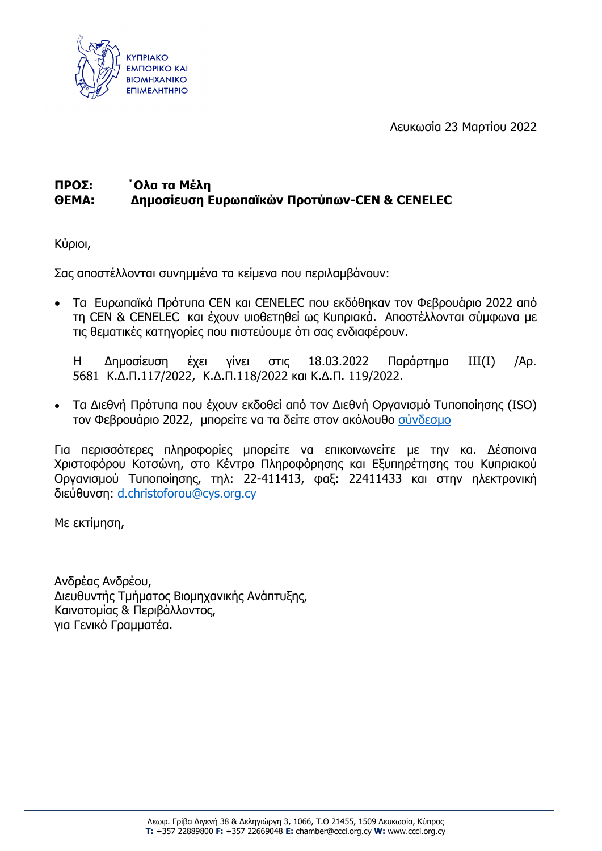

Λευκωσία 23 Μαρτίου 2022

# **ΠΡΟΣ: ΄Ολα τα Μέλη ΘΕΜΑ: Δημοσίευση Ευρωπαϊκών Προτύπων-CEN & CENELEC**

Κύριοι,

Σας αποστέλλονται συνημμένα τα κείμενα που περιλαμβάνουν:

• Τα Ευρωπαϊκά Πρότυπα CEN και CENELEC που εκδόθηκαν τον Φεβρουάριο 2022 από τη CEN & CENELEC και έχουν υιοθετηθεί ως Κυπριακά. Αποστέλλονται σύμφωνα με τις θεματικές κατηγορίες που πιστεύουμε ότι σας ενδιαφέρουν.

Η Δημοσίευση έχει γίνει στις 18.03.2022 Παράρτημα ΙΙΙ(Ι) /Αρ. 5681 Κ.Δ.Π.117/2022, Κ.Δ.Π.118/2022 και Κ.Δ.Π. 119/2022.

• Τα Διεθνή Πρότυπα που έχουν εκδοθεί από τον Διεθνή Οργανισμό Τυποποίησης (ISO) τον Φεβρουάριο 2022, μπορείτε να τα δείτε στον ακόλουθο [σύνδεσμο](https://www.iso.org/advanced-search/x/title/status/P/docNumber/docPartNo/docType/0/langCode/ics/currentStage/true/searchAbstract/true/stage/stageDateStart/2022-02-01/stageDateEnd/2022-02-28/committee/sdg)

Για περισσότερες πληροφορίες μπορείτε να επικοινωνείτε με την κα. Δέσποινα Χριστοφόρου Κοτσώνη, στο Κέντρο Πληροφόρησης και Εξυπηρέτησης του Κυπριακού Οργανισμού Τυποποίησης, τηλ: 22-411413, φαξ: 22411433 και στην ηλεκτρονική διεύθυνση: [d.christoforou@cys.org.cy](mailto:d.christoforou@cys.org.cy)

Με εκτίμηση,

Ανδρέας Ανδρέου, Διευθυντής Τμήματος Βιομηχανικής Ανάπτυξης, Καινοτομίας & Περιβάλλοντος, για Γενικό Γραμματέα.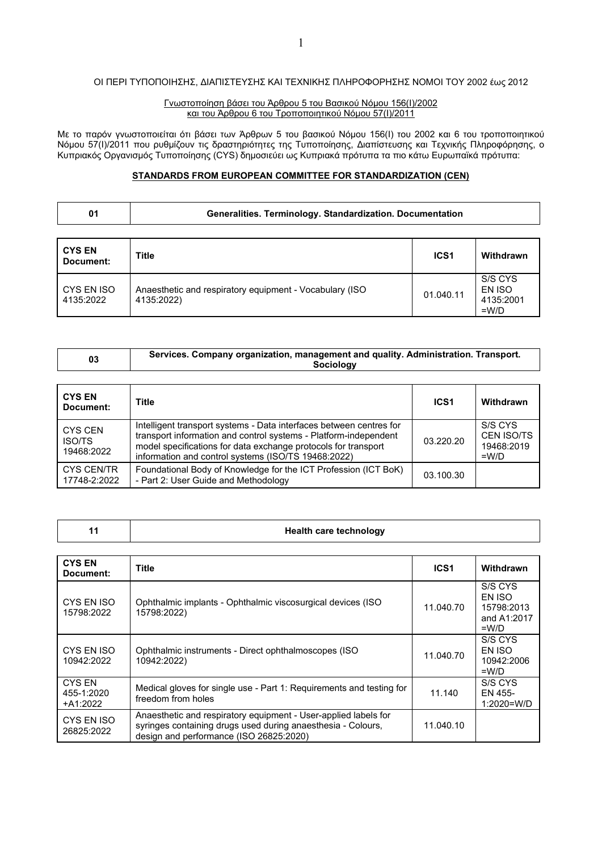#### ΟΙ ΠΕΡΙ ΤΥΠΟΠΟΙΗΣΗΣ, ΔΙΑΠΙΣΤΕΥΣΗΣ ΚΑΙ ΤΕΧΝΙΚΗΣ ΠΛΗΡΟΦΟΡΗΣΗΣ ΝΟΜΟI ΤΟΥ 2002 έως 2012

#### Γνωστοποίηση βάσει του Άρθρου 5 του Βασικού Νόμου 156(Ι)/2002 και του Άρθρου 6 του Τροποποιητικού Νόμου 57(Ι)/2011

Με το παρόν γνωστοποιείται ότι βάσει των Άρθρων 5 του βασικού Νόμου 156(Ι) του 2002 και 6 του τροποποιητικού Νόμου 57(Ι)/2011 που ρυθμίζουν τις δραστηριότητες της Τυποποίησης, Διαπίστευσης και Τεχνικής Πληροφόρησης, ο Κυπριακός Οργανισμός Τυποποίησης (CYS) δημοσιεύει ως Κυπριακά πρότυπα τα πιο κάτω Ευρωπαϊκά πρότυπα:

## **STANDARDS FROM EUROPEAN COMMITTEE FOR STANDARDIZATION (CEN)**

| 01 | Generalities. Terminology. Standardization. Documentation |
|----|-----------------------------------------------------------|
|    |                                                           |

| <b>CYS EN</b><br>Document: | <b>Title</b>                                                          | ICS <sub>1</sub> | Withdrawn                                 |
|----------------------------|-----------------------------------------------------------------------|------------------|-------------------------------------------|
| CYS EN ISO<br>4135:2022    | Anaesthetic and respiratory equipment - Vocabulary (ISO<br>4135:2022) | 01.040.11        | S/S CYS<br>EN ISO<br>4135:2001<br>$=$ W/D |

| 03 | Services. Company organization, management and quality. Administration. Transport. |
|----|------------------------------------------------------------------------------------|
|    | Sociology                                                                          |

| <b>CYS EN</b><br>Document:             | Title                                                                                                                                                                                                                                                            | ICS <sub>1</sub> | Withdrawn                                             |
|----------------------------------------|------------------------------------------------------------------------------------------------------------------------------------------------------------------------------------------------------------------------------------------------------------------|------------------|-------------------------------------------------------|
| CYS CEN<br><b>ISO/TS</b><br>19468:2022 | Intelligent transport systems - Data interfaces between centres for<br>transport information and control systems - Platform-independent<br>model specifications for data exchange protocols for transport<br>information and control systems (ISO/TS 19468:2022) | 03.220.20        | S/S CYS<br><b>CEN ISO/TS</b><br>19468:2019<br>$=$ W/D |
| CYS CEN/TR<br>17748-2:2022             | Foundational Body of Knowledge for the ICT Profession (ICT BoK)<br>- Part 2: User Guide and Methodology                                                                                                                                                          | 03.100.30        |                                                       |

|  |  | <b>Health care technology</b> |
|--|--|-------------------------------|
|--|--|-------------------------------|

| <b>CYS EN</b><br>Document:       | <b>Title</b>                                                                                                                                                               | ICS <sub>1</sub> | Withdrawn                                                 |
|----------------------------------|----------------------------------------------------------------------------------------------------------------------------------------------------------------------------|------------------|-----------------------------------------------------------|
| CYS EN ISO<br>15798:2022         | Ophthalmic implants - Ophthalmic viscosurgical devices (ISO<br>15798:2022)                                                                                                 | 11.040.70        | S/S CYS<br>EN ISO<br>15798:2013<br>and A1:2017<br>$=$ W/D |
| CYS EN ISO<br>10942:2022         | Ophthalmic instruments - Direct ophthalmoscopes (ISO<br>10942:2022)                                                                                                        | 11.040.70        | S/S CYS<br>EN ISO<br>10942:2006<br>$=$ W/D                |
| CYS EN<br>455-1:2020<br>+A1:2022 | Medical gloves for single use - Part 1: Requirements and testing for<br>freedom from holes                                                                                 | 11.140           | S/S CYS<br>EN 455-<br>1:2020=W/D                          |
| CYS EN ISO<br>26825:2022         | Anaesthetic and respiratory equipment - User-applied labels for<br>syringes containing drugs used during anaesthesia - Colours,<br>design and performance (ISO 26825:2020) | 11.040.10        |                                                           |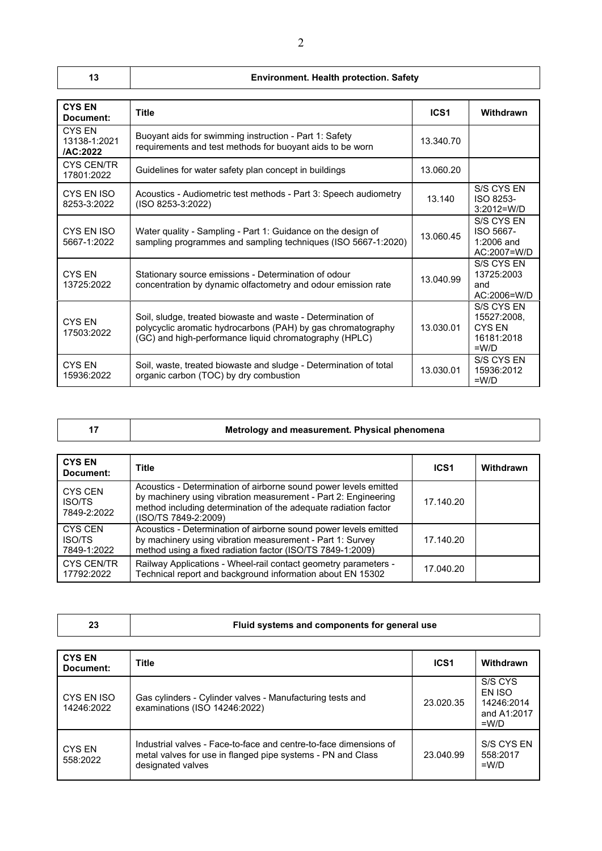## **13 Environment. Health protection. Safety**

| <b>CYS EN</b><br>Document:                | <b>Title</b>                                                                                                                                                                          | ICS <sub>1</sub> | Withdrawn                                                           |
|-------------------------------------------|---------------------------------------------------------------------------------------------------------------------------------------------------------------------------------------|------------------|---------------------------------------------------------------------|
| <b>CYS EN</b><br>13138-1:2021<br>/AC:2022 | Buoyant aids for swimming instruction - Part 1: Safety<br>requirements and test methods for buoyant aids to be worn                                                                   | 13.340.70        |                                                                     |
| <b>CYS CEN/TR</b><br>17801:2022           | Guidelines for water safety plan concept in buildings                                                                                                                                 | 13.060.20        |                                                                     |
| CYS EN ISO<br>8253-3:2022                 | Acoustics - Audiometric test methods - Part 3: Speech audiometry<br>(ISO 8253-3:2022)                                                                                                 | 13.140           | S/S CYS EN<br>ISO 8253-<br>$3:2012=W/D$                             |
| CYS EN ISO<br>5667-1:2022                 | Water quality - Sampling - Part 1: Guidance on the design of<br>sampling programmes and sampling techniques (ISO 5667-1:2020)                                                         | 13.060.45        | S/S CYS EN<br>ISO 5667-<br>$1:2006$ and<br>AC:2007=W/D              |
| CYS EN<br>13725:2022                      | Stationary source emissions - Determination of odour<br>concentration by dynamic olfactometry and odour emission rate                                                                 | 13.040.99        | S/S CYS EN<br>13725:2003<br>and<br>AC:2006=W/D                      |
| CYS EN<br>17503:2022                      | Soil, sludge, treated biowaste and waste - Determination of<br>polycyclic aromatic hydrocarbons (PAH) by gas chromatography<br>(GC) and high-performance liquid chromatography (HPLC) | 13.030.01        | S/S CYS EN<br>15527:2008.<br><b>CYS EN</b><br>16181:2018<br>$=$ W/D |
| CYS FN<br>15936:2022                      | Soil, waste, treated biowaste and sludge - Determination of total<br>organic carbon (TOC) by dry combustion                                                                           | 13.030.01        | S/S CYS FN<br>15936:2012<br>$=$ W/D                                 |

| <b>CYS EN</b><br>Document:                     | <b>Title</b>                                                                                                                                                                                                                  | <b>ICS1</b> | Withdrawn |
|------------------------------------------------|-------------------------------------------------------------------------------------------------------------------------------------------------------------------------------------------------------------------------------|-------------|-----------|
| CYS CEN<br><b>ISO/TS</b><br>7849-2:2022        | Acoustics - Determination of airborne sound power levels emitted<br>by machinery using vibration measurement - Part 2: Engineering<br>method including determination of the adequate radiation factor<br>(ISO/TS 7849-2:2009) | 17.140.20   |           |
| <b>CYS CEN</b><br><b>ISO/TS</b><br>7849-1:2022 | Acoustics - Determination of airborne sound power levels emitted<br>by machinery using vibration measurement - Part 1: Survey<br>method using a fixed radiation factor (ISO/TS 7849-1:2009)                                   | 17.140.20   |           |
| <b>CYS CEN/TR</b><br>17792:2022                | Railway Applications - Wheel-rail contact geometry parameters -<br>Technical report and background information about EN 15302                                                                                                 | 17.040.20   |           |

| $\sim$ | Fluid systems and components for general use |
|--------|----------------------------------------------|
|--------|----------------------------------------------|

| <b>CYS EN</b><br>Document: | <b>Title</b>                                                                                                                                          | ICS <sub>1</sub> | Withdrawn                                                 |
|----------------------------|-------------------------------------------------------------------------------------------------------------------------------------------------------|------------------|-----------------------------------------------------------|
| CYS EN ISO<br>14246:2022   | Gas cylinders - Cylinder valves - Manufacturing tests and<br>examinations (ISO 14246:2022)                                                            | 23.020.35        | S/S CYS<br>EN ISO<br>14246:2014<br>and A1:2017<br>$=$ W/D |
| CYS EN<br>558:2022         | Industrial valves - Face-to-face and centre-to-face dimensions of<br>metal valves for use in flanged pipe systems - PN and Class<br>designated valves | 23.040.99        | S/S CYS EN<br>558:2017<br>$=W/D$                          |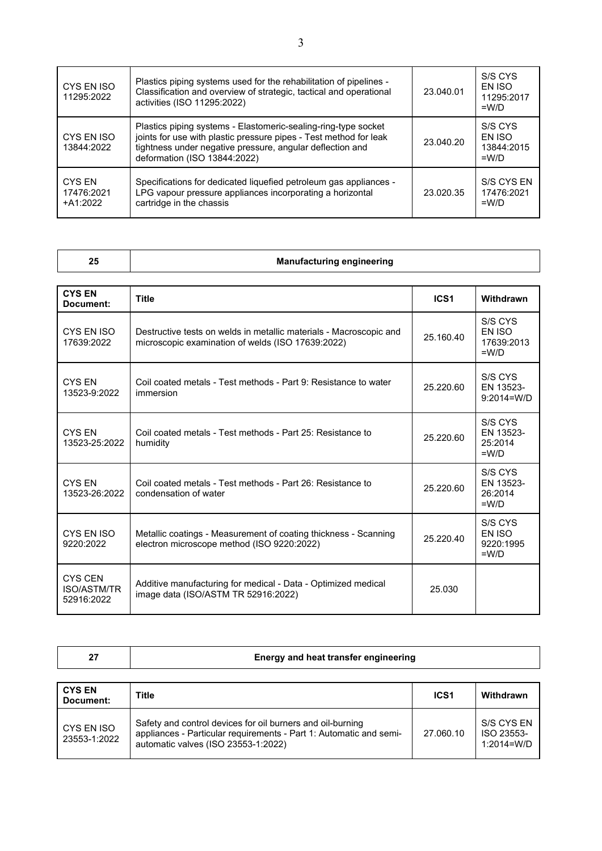| CYS EN ISO<br>11295:2022           | Plastics piping systems used for the rehabilitation of pipelines -<br>Classification and overview of strategic, tactical and operational<br>activities (ISO 11295:2022)                                                          | 23.040.01 | S/S CYS<br>EN ISO<br>11295:2017<br>$=$ W/D |
|------------------------------------|----------------------------------------------------------------------------------------------------------------------------------------------------------------------------------------------------------------------------------|-----------|--------------------------------------------|
| CYS EN ISO<br>13844:2022           | Plastics piping systems - Elastomeric-sealing-ring-type socket<br>joints for use with plastic pressure pipes - Test method for leak<br>tightness under negative pressure, angular deflection and<br>deformation (ISO 13844:2022) | 23.040.20 | S/S CYS<br>EN ISO<br>13844:2015<br>$=$ W/D |
| CYS EN<br>17476:2021<br>$+A1:2022$ | Specifications for dedicated liquefied petroleum gas appliances -<br>LPG vapour pressure appliances incorporating a horizontal<br>cartridge in the chassis                                                                       | 23.020.35 | S/S CYS EN<br>17476:2021<br>$=$ W/D        |

| 25                             | <b>Manufacturing engineering</b>                                                                                        |                  |                                            |  |  |
|--------------------------------|-------------------------------------------------------------------------------------------------------------------------|------------------|--------------------------------------------|--|--|
| <b>CYS EN</b><br>Document:     | Title                                                                                                                   | ICS <sub>1</sub> | Withdrawn                                  |  |  |
| CYS EN ISO<br>17639:2022       | Destructive tests on welds in metallic materials - Macroscopic and<br>microscopic examination of welds (ISO 17639:2022) | 25.160.40        | S/S CYS<br>EN ISO<br>17639:2013<br>$=$ W/D |  |  |
| CYS EN<br>13523-9:2022         | Coil coated metals - Test methods - Part 9: Resistance to water<br>immersion                                            | 25.220.60        | S/S CYS<br>EN 13523-<br>$9:2014 = W/D$     |  |  |
| <b>CYS EN</b><br>13523-25:2022 | Coil coated metals - Test methods - Part 25: Resistance to<br>humidity                                                  | 25.220.60        | S/S CYS<br>EN 13523-<br>25:2014            |  |  |

| CYS EN<br>13523-25:2022                     | Coil coated metals - Test methods - Part 25: Resistance to<br>humidity                                        | 25.220.60 | 313 U I S<br>EN 13523-<br>25:2014<br>$=$ W/D |
|---------------------------------------------|---------------------------------------------------------------------------------------------------------------|-----------|----------------------------------------------|
| CYS EN<br>13523-26:2022                     | Coil coated metals - Test methods - Part 26: Resistance to<br>condensation of water                           | 25.220.60 | S/S CYS<br>EN 13523-<br>26:2014<br>$=$ W/D   |
| CYS EN ISO<br>9220:2022                     | Metallic coatings - Measurement of coating thickness - Scanning<br>electron microscope method (ISO 9220:2022) | 25.220.40 | S/S CYS<br>EN ISO<br>9220:1995<br>$=$ W/D    |
| CYS CEN<br><b>ISO/ASTM/TR</b><br>52916:2022 | Additive manufacturing for medical - Data - Optimized medical<br>image data (ISO/ASTM TR 52916:2022)          | 25.030    |                                              |

| 27                         | Energy and heat transfer engineering                                                                                                                                    |                  |                                            |
|----------------------------|-------------------------------------------------------------------------------------------------------------------------------------------------------------------------|------------------|--------------------------------------------|
|                            |                                                                                                                                                                         |                  |                                            |
| <b>CYS EN</b><br>Document: | Title                                                                                                                                                                   | ICS <sub>1</sub> | Withdrawn                                  |
| CYS EN ISO<br>23553-1:2022 | Safety and control devices for oil burners and oil-burning<br>appliances - Particular requirements - Part 1: Automatic and semi-<br>automatic valves (ISO 23553-1:2022) | 27.060.10        | S/S CYS EN<br>ISO 23553-<br>$1:2014 = W/D$ |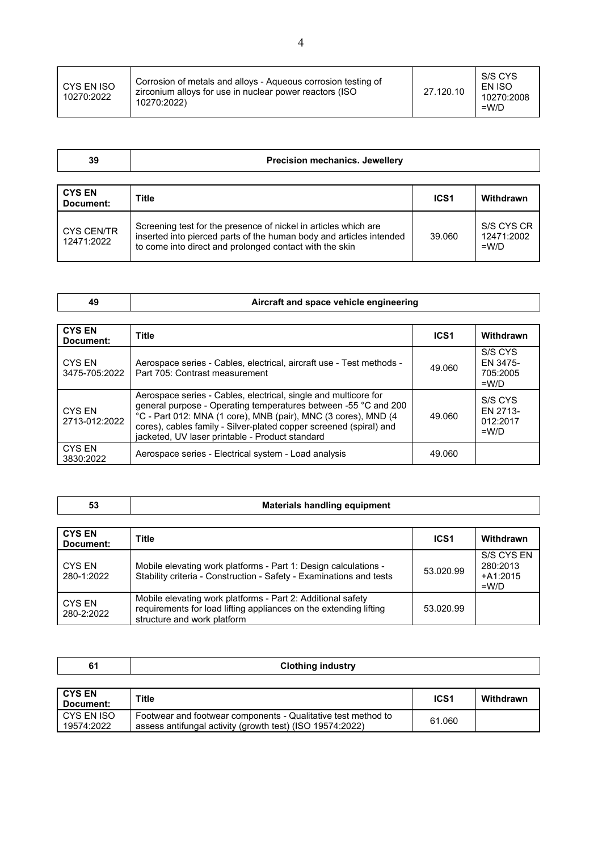| CYS EN ISO<br>10270:2022 | Corrosion of metals and alloys - Aqueous corrosion testing of<br>zirconium allovs for use in nuclear power reactors (ISO<br>10270:2022) | 27.120.10 | S/S CYS<br>EN ISO<br>10270:2008<br>$=$ W/D |
|--------------------------|-----------------------------------------------------------------------------------------------------------------------------------------|-----------|--------------------------------------------|
|--------------------------|-----------------------------------------------------------------------------------------------------------------------------------------|-----------|--------------------------------------------|

| 39 | <b>Precision mechanics. Jewellery</b> |  |
|----|---------------------------------------|--|
|    |                                       |  |

| <b>CYS EN</b><br>Document: | <b>Title</b>                                                                                                                                                                                      | ICS <sub>1</sub> | Withdrawn                           |
|----------------------------|---------------------------------------------------------------------------------------------------------------------------------------------------------------------------------------------------|------------------|-------------------------------------|
| CYS CEN/TR<br>12471:2022   | Screening test for the presence of nickel in articles which are<br>inserted into pierced parts of the human body and articles intended<br>to come into direct and prolonged contact with the skin | 39.060           | S/S CYS CR<br>12471:2002<br>$=$ W/D |

|  | Aircraft and space vehicle engineering |
|--|----------------------------------------|
|--|----------------------------------------|

| <b>CYS EN</b><br>Document:     | Title                                                                                                                                                                                                                                                                                                                         | ICS <sub>1</sub> | Withdrawn                                  |
|--------------------------------|-------------------------------------------------------------------------------------------------------------------------------------------------------------------------------------------------------------------------------------------------------------------------------------------------------------------------------|------------------|--------------------------------------------|
| <b>CYS EN</b><br>3475-705:2022 | Aerospace series - Cables, electrical, aircraft use - Test methods -<br>Part 705: Contrast measurement                                                                                                                                                                                                                        | 49.060           | S/S CYS<br>EN 3475-<br>705:2005<br>$=$ W/D |
| CYS EN<br>2713-012:2022        | Aerospace series - Cables, electrical, single and multicore for<br>general purpose - Operating temperatures between -55 °C and 200<br>°C - Part 012: MNA (1 core), MNB (pair), MNC (3 cores), MND (4<br>cores), cables family - Silver-plated copper screened (spiral) and<br>jacketed, UV laser printable - Product standard | 49.060           | S/S CYS<br>EN 2713-<br>012:2017<br>$=$ W/D |
| CYS EN<br>3830:2022            | Aerospace series - Electrical system - Load analysis                                                                                                                                                                                                                                                                          | 49.060           |                                            |

| <b>Materials handling equipment</b><br>v. |
|-------------------------------------------|
|-------------------------------------------|

| <b>CYS EN</b><br>Document:  | Title                                                                                                                                                           | ICS <sub>1</sub> | Withdrawn                                       |
|-----------------------------|-----------------------------------------------------------------------------------------------------------------------------------------------------------------|------------------|-------------------------------------------------|
| CYS EN<br>280-1:2022        | Mobile elevating work platforms - Part 1: Design calculations -<br>Stability criteria - Construction - Safety - Examinations and tests                          | 53.020.99        | S/S CYS EN<br>280:2013<br>$+A1:2015$<br>$=$ W/D |
| <b>CYS EN</b><br>280-2:2022 | Mobile elevating work platforms - Part 2: Additional safety<br>requirements for load lifting appliances on the extending lifting<br>structure and work platform | 53.020.99        |                                                 |

| 61                         | <b>Clothing industry</b>                                                                                                   |                  |           |  |
|----------------------------|----------------------------------------------------------------------------------------------------------------------------|------------------|-----------|--|
|                            |                                                                                                                            |                  |           |  |
| <b>CYS EN</b><br>Document: | Title                                                                                                                      | ICS <sub>1</sub> | Withdrawn |  |
| CYS EN ISO<br>19574:2022   | Footwear and footwear components - Qualitative test method to<br>assess antifungal activity (growth test) (ISO 19574:2022) | 61.060           |           |  |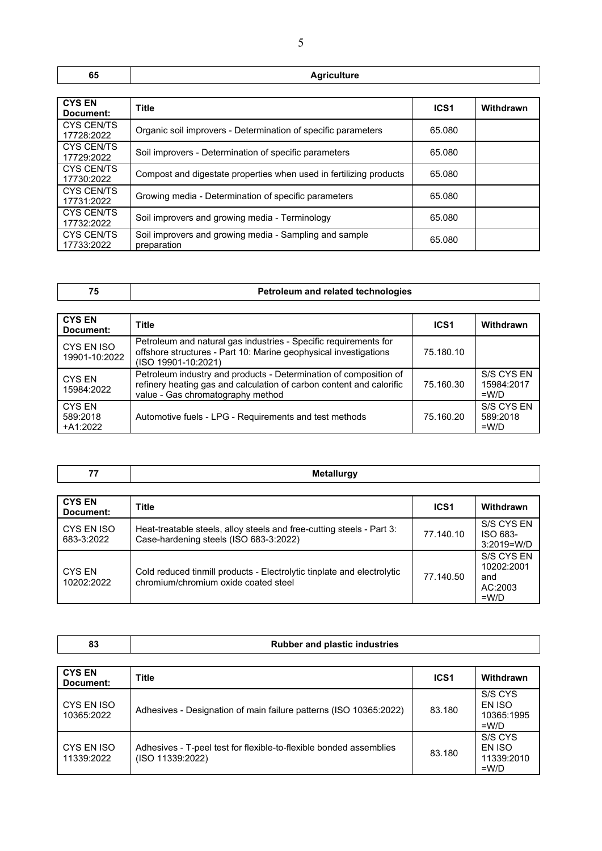| -- | ----- |
|----|-------|

| <b>CYS EN</b><br>Document:      | <b>Title</b>                                                          | ICS <sub>1</sub> | Withdrawn |
|---------------------------------|-----------------------------------------------------------------------|------------------|-----------|
| <b>CYS CEN/TS</b><br>17728:2022 | Organic soil improvers - Determination of specific parameters         | 65.080           |           |
| <b>CYS CEN/TS</b><br>17729:2022 | Soil improvers - Determination of specific parameters                 | 65.080           |           |
| <b>CYS CEN/TS</b><br>17730:2022 | Compost and digestate properties when used in fertilizing products    | 65.080           |           |
| <b>CYS CEN/TS</b><br>17731:2022 | Growing media - Determination of specific parameters                  | 65.080           |           |
| <b>CYS CEN/TS</b><br>17732:2022 | Soil improvers and growing media - Terminology                        | 65.080           |           |
| <b>CYS CEN/TS</b><br>17733:2022 | Soil improvers and growing media - Sampling and sample<br>preparation | 65.080           |           |

CYS EN ISO 11339:2022

## **75 Petroleum and related technologies**

| <b>CYS EN</b><br>Document:            | <b>Title</b>                                                                                                                                                                   | <b>ICS1</b> | Withdrawn                           |
|---------------------------------------|--------------------------------------------------------------------------------------------------------------------------------------------------------------------------------|-------------|-------------------------------------|
| CYS EN ISO<br>19901-10:2022           | Petroleum and natural gas industries - Specific requirements for<br>offshore structures - Part 10: Marine geophysical investigations<br>(ISO 19901-10:2021)                    | 75.180.10   |                                     |
| CYS EN<br>15984:2022                  | Petroleum industry and products - Determination of composition of<br>refinery heating gas and calculation of carbon content and calorific<br>value - Gas chromatography method | 75.160.30   | S/S CYS EN<br>15984:2017<br>$=$ W/D |
| <b>CYS EN</b><br>589:2018<br>+A1:2022 | Automotive fuels - LPG - Requirements and test methods                                                                                                                         | 75.160.20   | S/S CYS EN<br>589:2018<br>$=$ W/D   |

| <b>CYS EN</b><br>Document: | <b>Title</b>                                                                                                    | ICS <sub>1</sub> | Withdrawn                                             |
|----------------------------|-----------------------------------------------------------------------------------------------------------------|------------------|-------------------------------------------------------|
| CYS EN ISO<br>683-3:2022   | Heat-treatable steels, alloy steels and free-cutting steels - Part 3:<br>Case-hardening steels (ISO 683-3:2022) | 77.140.10        | S/S CYS EN<br>ISO 683-<br>3:2019=W/D                  |
| CYS EN<br>10202:2022       | Cold reduced tinmill products - Electrolytic tinplate and electrolytic<br>chromium/chromium oxide coated steel  | 77.140.50        | S/S CYS EN<br>10202:2001<br>and<br>AC:2003<br>$=$ W/D |

| 83                         | <b>Rubber and plastic industries</b>                              |                  |                                            |
|----------------------------|-------------------------------------------------------------------|------------------|--------------------------------------------|
| <b>CYS EN</b><br>Document: | Title                                                             | ICS <sub>1</sub> | Withdrawn                                  |
| CYS EN ISO<br>10365:2022   | Adhesives - Designation of main failure patterns (ISO 10365:2022) | 83.180           | S/S CYS<br>EN ISO<br>10365:1995<br>$=$ W/D |
|                            |                                                                   |                  | S/S CYS                                    |

Adhesives - T-peel test for flexible-to-flexible bonded assemblies (ISO 11339:2022) 83.180

EN ISO 11339:2010 =W/D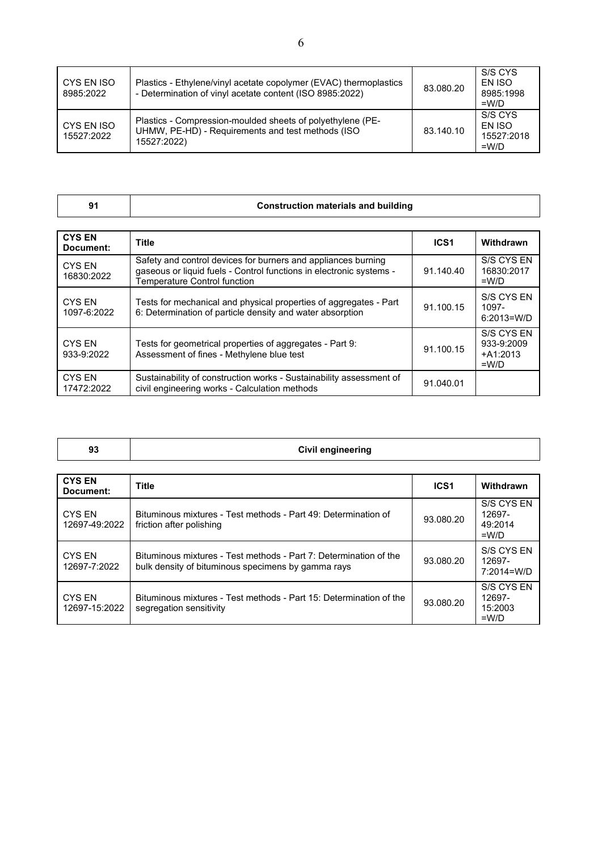| CYS EN ISO<br>8985:2022  | Plastics - Ethylene/vinyl acetate copolymer (EVAC) thermoplastics<br>- Determination of vinyl acetate content (ISO 8985:2022)  | 83.080.20 | S/S CYS<br><b>FN ISO</b><br>8985:1998<br>$=$ W/D  |
|--------------------------|--------------------------------------------------------------------------------------------------------------------------------|-----------|---------------------------------------------------|
| CYS EN ISO<br>15527:2022 | Plastics - Compression-moulded sheets of polyethylene (PE-<br>UHMW, PE-HD) - Requirements and test methods (ISO<br>15527:2022) | 83.140.10 | S/S CYS<br><b>FN ISO</b><br>15527:2018<br>$=$ W/D |

| ×<br>۰, |
|---------|
|---------|

## **91 Construction materials and building**

| <b>CYS EN</b><br>Document:   | Title                                                                                                                                                                       | ICS <sub>1</sub> | Withdrawn                                         |
|------------------------------|-----------------------------------------------------------------------------------------------------------------------------------------------------------------------------|------------------|---------------------------------------------------|
| <b>CYS EN</b><br>16830:2022  | Safety and control devices for burners and appliances burning<br>gaseous or liquid fuels - Control functions in electronic systems -<br><b>Temperature Control function</b> | 91.140.40        | S/S CYS EN<br>16830:2017<br>$=W/D$                |
| <b>CYS EN</b><br>1097-6:2022 | Tests for mechanical and physical properties of aggregates - Part<br>6: Determination of particle density and water absorption                                              | 91.100.15        | S/S CYS EN<br>1097-<br>$6:2013=$ W/D              |
| CYS EN<br>933-9:2022         | Tests for geometrical properties of aggregates - Part 9:<br>Assessment of fines - Methylene blue test                                                                       | 91.100.15        | S/S CYS EN<br>933-9:2009<br>$+A1:2013$<br>$=$ W/D |
| <b>CYS EN</b><br>17472:2022  | Sustainability of construction works - Sustainability assessment of<br>civil engineering works - Calculation methods                                                        | 91.040.01        |                                                   |

| <b>Civil engineering</b><br>$\sim$<br>Ju |  |
|------------------------------------------|--|
|------------------------------------------|--|

| <b>CYS EN</b><br>Document:     | <b>Title</b>                                                                                                            | ICS <sub>1</sub> | Withdrawn                                  |
|--------------------------------|-------------------------------------------------------------------------------------------------------------------------|------------------|--------------------------------------------|
| <b>CYS EN</b><br>12697-49:2022 | Bituminous mixtures - Test methods - Part 49: Determination of<br>friction after polishing                              | 93.080.20        | S/S CYS EN<br>12697-<br>49:2014<br>$=$ W/D |
| CYS FN<br>12697-7:2022         | Bituminous mixtures - Test methods - Part 7: Determination of the<br>bulk density of bituminous specimens by gamma rays | 93.080.20        | S/S CYS EN<br>12697-<br>7:2014=W/D         |
| CYS FN<br>12697-15:2022        | Bituminous mixtures - Test methods - Part 15: Determination of the<br>segregation sensitivity                           | 93.080.20        | S/S CYS EN<br>12697-<br>15:2003<br>$=$ W/D |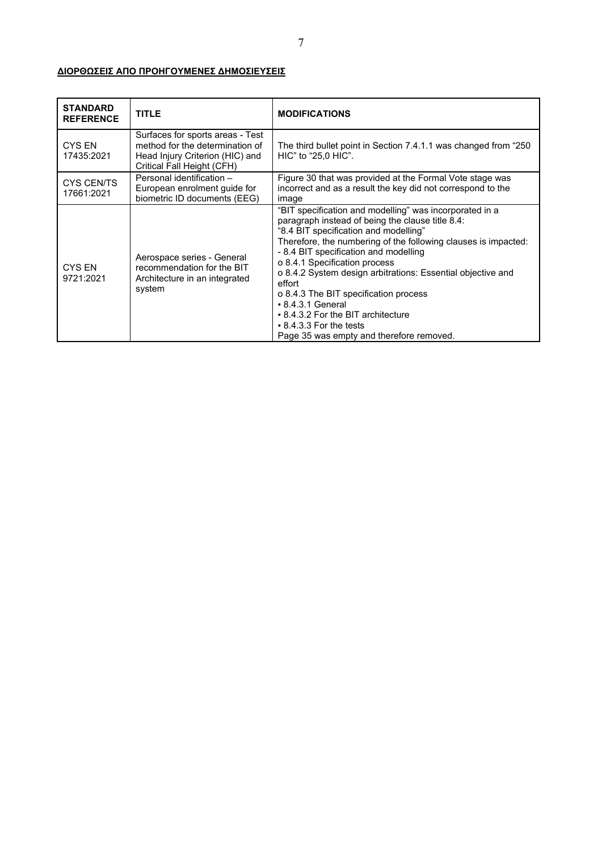## **ΔΙΟΡΘΩΣΕΙΣ ΑΠΟ ΠΡΟΗΓΟΥΜΕΝΕΣ ΔΗΜΟΣΙΕΥΣΕΙΣ**

| <b>STANDARD</b><br><b>REFERENCE</b> | <b>TITLE</b>                                                                                                                         | <b>MODIFICATIONS</b>                                                                                                                                                                                                                                                                                                                                                                                                                                                                                                                                          |
|-------------------------------------|--------------------------------------------------------------------------------------------------------------------------------------|---------------------------------------------------------------------------------------------------------------------------------------------------------------------------------------------------------------------------------------------------------------------------------------------------------------------------------------------------------------------------------------------------------------------------------------------------------------------------------------------------------------------------------------------------------------|
| CYS EN<br>17435:2021                | Surfaces for sports areas - Test<br>method for the determination of<br>Head Injury Criterion (HIC) and<br>Critical Fall Height (CFH) | The third bullet point in Section 7.4.1.1 was changed from "250<br>HIC" to "25,0 HIC".                                                                                                                                                                                                                                                                                                                                                                                                                                                                        |
| <b>CYS CEN/TS</b><br>17661:2021     | Personal identification -<br>European enrolment guide for<br>biometric ID documents (EEG)                                            | Figure 30 that was provided at the Formal Vote stage was<br>incorrect and as a result the key did not correspond to the<br>image                                                                                                                                                                                                                                                                                                                                                                                                                              |
| CYS EN<br>9721:2021                 | Aerospace series - General<br>recommendation for the BIT<br>Architecture in an integrated<br>system                                  | "BIT specification and modelling" was incorporated in a<br>paragraph instead of being the clause title 8.4:<br>"8.4 BIT specification and modelling"<br>Therefore, the numbering of the following clauses is impacted:<br>- 8.4 BIT specification and modelling<br>o 8.4.1 Specification process<br>o 8.4.2 System design arbitrations: Essential objective and<br>effort<br>o 8.4.3 The BIT specification process<br>$-8.4.3.1$ General<br>• 8.4.3.2 For the BIT architecture<br>$\bullet$ 8.4.3.3 For the tests<br>Page 35 was empty and therefore removed. |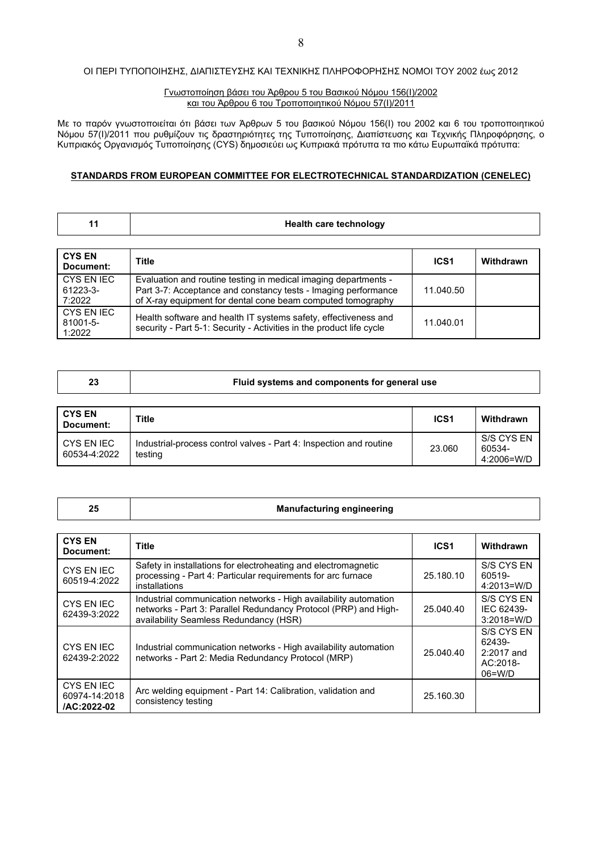## ΟΙ ΠΕΡΙ ΤΥΠΟΠΟΙΗΣΗΣ, ΔΙΑΠΙΣΤΕΥΣΗΣ ΚΑΙ ΤΕΧΝΙΚΗΣ ΠΛΗΡΟΦΟΡΗΣΗΣ ΝΟΜΟI ΤΟΥ 2002 έως 2012

#### Γνωστοποίηση βάσει του Άρθρου 5 του Βασικού Νόμου 156(Ι)/2002 και του Άρθρου 6 του Τροποποιητικού Νόμου 57(Ι)/2011

Με το παρόν γνωστοποιείται ότι βάσει των Άρθρων 5 του βασικού Νόμου 156(Ι) του 2002 και 6 του τροποποιητικού Νόμου 57(Ι)/2011 που ρυθμίζουν τις δραστηριότητες της Τυποποίησης, Διαπίστευσης και Τεχνικής Πληροφόρησης, ο Κυπριακός Οργανισμός Τυποποίησης (CYS) δημοσιεύει ως Κυπριακά πρότυπα τα πιο κάτω Ευρωπαϊκά πρότυπα:

#### **STANDARDS FROM EUROPEAN COMMITTEE FOR ELECTROTECHNICAL STANDARDIZATION (CENELEC)**

|  |  | <b>Health care technology</b> |
|--|--|-------------------------------|
|--|--|-------------------------------|

| <b>CYS EN</b><br>Document:       | <b>Title</b>                                                                                                                                                                                     | ICS <sub>1</sub> | Withdrawn |
|----------------------------------|--------------------------------------------------------------------------------------------------------------------------------------------------------------------------------------------------|------------------|-----------|
| CYS EN IEC<br>61223-3-<br>7:2022 | Evaluation and routine testing in medical imaging departments -<br>Part 3-7: Acceptance and constancy tests - Imaging performance<br>of X-ray equipment for dental cone beam computed tomography | 11.040.50        |           |
| CYS EN IEC<br>81001-5-<br>1:2022 | Health software and health IT systems safety, effectiveness and<br>security - Part 5-1: Security - Activities in the product life cycle                                                          | 11.040.01        |           |

| Fluid systems and components for general use |  |
|----------------------------------------------|--|
|----------------------------------------------|--|

| <b>CYS EN</b><br>Document: | <b>Title</b>                                                                  | ICS <sub>1</sub> | Withdrawn                          |
|----------------------------|-------------------------------------------------------------------------------|------------------|------------------------------------|
| CYS EN IEC<br>60534-4:2022 | Industrial-process control valves - Part 4: Inspection and routine<br>testing | 23.060           | S/S CYS EN<br>60534-<br>4:2006=W/D |

### **25 Manufacturing engineering**

| <b>CYS EN</b><br>Document:                 | Title                                                                                                                                                                         | ICS <sub>1</sub> | Withdrawn                                                     |
|--------------------------------------------|-------------------------------------------------------------------------------------------------------------------------------------------------------------------------------|------------------|---------------------------------------------------------------|
| <b>CYS EN IEC</b><br>60519-4:2022          | Safety in installations for electroheating and electromagnetic<br>processing - Part 4: Particular requirements for arc furnace<br>installations                               | 25.180.10        | S/S CYS EN<br>60519-<br>4:2013=W/D                            |
| CYS EN IEC<br>62439-3:2022                 | Industrial communication networks - High availability automation<br>networks - Part 3: Parallel Redundancy Protocol (PRP) and High-<br>availability Seamless Redundancy (HSR) | 25.040.40        | S/S CYS EN<br>IEC 62439-<br>$3:2018 = W/D$                    |
| CYS EN IEC<br>62439-2:2022                 | Industrial communication networks - High availability automation<br>networks - Part 2: Media Redundancy Protocol (MRP)                                                        | 25.040.40        | S/S CYS EN<br>62439-<br>$2:2017$ and<br>AC:2018-<br>$06=$ W/D |
| CYS EN IEC<br>60974-14:2018<br>/AC:2022-02 | Arc welding equipment - Part 14: Calibration, validation and<br>consistency testing                                                                                           | 25.160.30        |                                                               |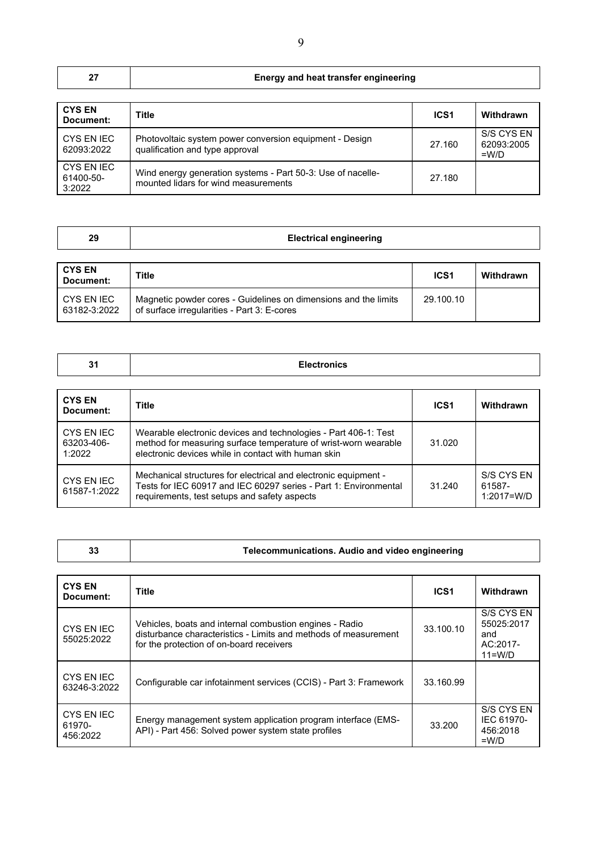|  | <b>Energy and heat transfer engineering</b> |
|--|---------------------------------------------|
|--|---------------------------------------------|

| <b>CYS EN</b><br>Document:        | Title                                                                                               | ICS <sub>1</sub> | Withdrawn                           |
|-----------------------------------|-----------------------------------------------------------------------------------------------------|------------------|-------------------------------------|
| CYS EN IEC<br>62093:2022          | Photovoltaic system power conversion equipment - Design<br>qualification and type approval          | 27.160           | S/S CYS EN<br>62093:2005<br>$=$ W/D |
| CYS EN IEC<br>61400-50-<br>3:2022 | Wind energy generation systems - Part 50-3: Use of nacelle-<br>mounted lidars for wind measurements | 27.180           |                                     |

| 29                         | <b>Electrical engineering</b>                                                                                  |                  |           |
|----------------------------|----------------------------------------------------------------------------------------------------------------|------------------|-----------|
| <b>CYS EN</b><br>Document: | <b>Title</b>                                                                                                   | ICS <sub>1</sub> | Withdrawn |
| CYS EN IEC<br>63182-3:2022 | Magnetic powder cores - Guidelines on dimensions and the limits<br>of surface irregularities - Part 3: E-cores | 29.100.10        |           |

| 31            | <b>Electronics</b> |                 |                  |
|---------------|--------------------|-----------------|------------------|
|               |                    |                 |                  |
| <b>CYS EN</b> | <b>Title</b>       | IC <sub>4</sub> | <b>Withdrawn</b> |

| Document:                          | Title                                                                                                                                                                                     | ICS1   | Withdrawn                              |
|------------------------------------|-------------------------------------------------------------------------------------------------------------------------------------------------------------------------------------------|--------|----------------------------------------|
| CYS EN IEC<br>63203-406-<br>1:2022 | Wearable electronic devices and technologies - Part 406-1: Test<br>method for measuring surface temperature of wrist-worn wearable<br>electronic devices while in contact with human skin | 31.020 |                                        |
| CYS EN IEC<br>61587-1:2022         | Mechanical structures for electrical and electronic equipment -<br>Tests for IEC 60917 and IEC 60297 series - Part 1: Environmental<br>requirements, test setups and safety aspects       | 31.240 | S/S CYS EN<br>61587-<br>$1:2017 = W/D$ |

**33 Telecommunications. Audio and video engineering**

| <b>CYS EN</b><br>Document:       | <b>Title</b>                                                                                                                                                           | ICS <sub>1</sub> | Withdrawn                                                 |
|----------------------------------|------------------------------------------------------------------------------------------------------------------------------------------------------------------------|------------------|-----------------------------------------------------------|
| <b>CYS EN IEC</b><br>55025:2022  | Vehicles, boats and internal combustion engines - Radio<br>disturbance characteristics - Limits and methods of measurement<br>for the protection of on-board receivers | 33.100.10        | S/S CYS EN<br>55025:2017<br>and<br>AC:2017-<br>$11 = W/D$ |
| CYS EN IEC<br>63246-3:2022       | Configurable car infotainment services (CCIS) - Part 3: Framework                                                                                                      | 33.160.99        |                                                           |
| CYS EN IEC<br>61970-<br>456:2022 | Energy management system application program interface (EMS-<br>API) - Part 456: Solved power system state profiles                                                    | 33.200           | S/S CYS EN<br>IEC 61970-<br>456:2018<br>$=$ W/D           |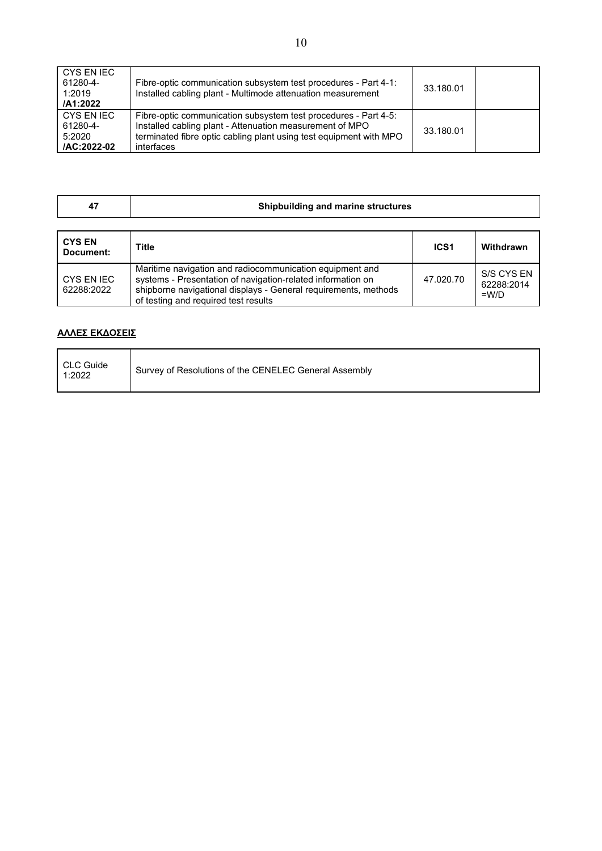| CYS EN IEC<br>61280-4-<br>1:2019<br>/A1:2022    | Fibre-optic communication subsystem test procedures - Part 4-1:<br>Installed cabling plant - Multimode attenuation measurement                                                                                  | 33.180.01 |  |
|-------------------------------------------------|-----------------------------------------------------------------------------------------------------------------------------------------------------------------------------------------------------------------|-----------|--|
| CYS EN IEC<br>61280-4-<br>5:2020<br>/AC:2022-02 | Fibre-optic communication subsystem test procedures - Part 4-5:<br>Installed cabling plant - Attenuation measurement of MPO<br>terminated fibre optic cabling plant using test equipment with MPO<br>interfaces | 33.180.01 |  |

|  | Shipbuilding and marine structures |
|--|------------------------------------|
|--|------------------------------------|

| <b>CYS EN</b><br>Document: | <b>Title</b>                                                                                                                                                                                                                       | <b>ICS1</b> | Withdrawn                           |
|----------------------------|------------------------------------------------------------------------------------------------------------------------------------------------------------------------------------------------------------------------------------|-------------|-------------------------------------|
| CYS EN IEC<br>62288:2022   | Maritime navigation and radiocommunication equipment and<br>systems - Presentation of navigation-related information on<br>shipborne navigational displays - General requirements, methods<br>of testing and required test results | 47.020.70   | S/S CYS EN<br>62288:2014<br>$=$ W/D |

## **AΛΛΕΣ ΕΚΔΟΣΕΙΣ**

| CLC Guide<br>1:2022 | Survey of Resolutions of the CENELEC General Assembly |
|---------------------|-------------------------------------------------------|
|---------------------|-------------------------------------------------------|